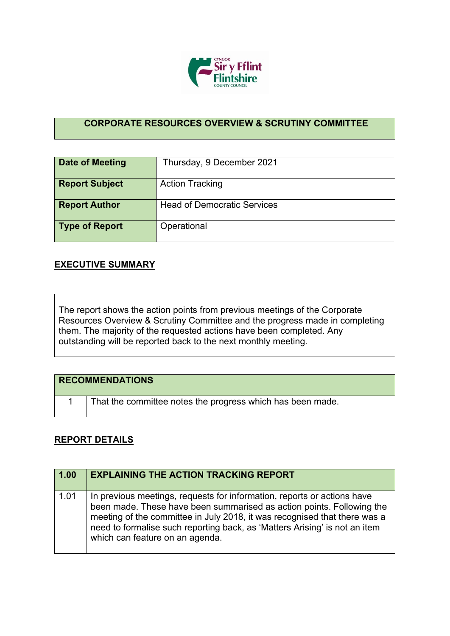

## **CORPORATE RESOURCES OVERVIEW & SCRUTINY COMMITTEE**

| <b>Date of Meeting</b> | Thursday, 9 December 2021          |
|------------------------|------------------------------------|
| <b>Report Subject</b>  | <b>Action Tracking</b>             |
| <b>Report Author</b>   | <b>Head of Democratic Services</b> |
| Type of Report         | Operational                        |

## **EXECUTIVE SUMMARY**

The report shows the action points from previous meetings of the Corporate Resources Overview & Scrutiny Committee and the progress made in completing them. The majority of the requested actions have been completed. Any outstanding will be reported back to the next monthly meeting.

| <b>RECOMMENDATIONS</b>                                     |
|------------------------------------------------------------|
| That the committee notes the progress which has been made. |

## **REPORT DETAILS**

| 1.00 | <b>EXPLAINING THE ACTION TRACKING REPORT</b>                                                                                                                                                                                                                                                                                                   |
|------|------------------------------------------------------------------------------------------------------------------------------------------------------------------------------------------------------------------------------------------------------------------------------------------------------------------------------------------------|
| 1.01 | In previous meetings, requests for information, reports or actions have<br>been made. These have been summarised as action points. Following the<br>meeting of the committee in July 2018, it was recognised that there was a<br>need to formalise such reporting back, as 'Matters Arising' is not an item<br>which can feature on an agenda. |